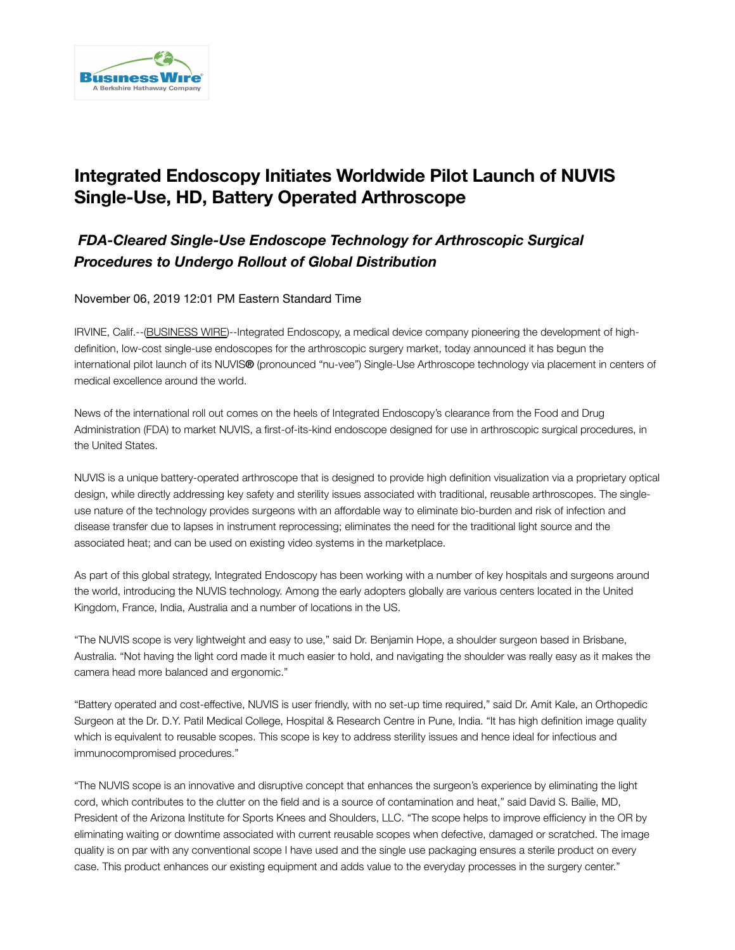

## **Integrated Endoscopy Initiates Worldwide Pilot Launch of NUVIS Single-Use, HD, Battery Operated Arthroscope**

## *FDA-Cleared Single-Use Endoscope Technology for Arthroscopic Surgical Procedures to Undergo Rollout of Global Distribution*

November 06, 2019 12:01 PM Eastern Standard Time

IRVINE, Calif.--[\(BUSINESS](https://www.businesswire.com/) WIRE)--Integrated Endoscopy, a medical device company pioneering the development of highdefinition, low-cost single-use endoscopes for the arthroscopic surgery market, today announced it has begun the international pilot launch of its NUVIS**®** (pronounced "nu-vee") Single-Use Arthroscope technology via placement in centers of medical excellence around the world.

News of the international roll out comes on the heels of Integrated Endoscopy's clearance from the Food and Drug Administration (FDA) to market NUVIS, a first-of-its-kind endoscope designed for use in arthroscopic surgical procedures, in the United States.

NUVIS is a unique battery-operated arthroscope that is designed to provide high definition visualization via a proprietary optical design, while directly addressing key safety and sterility issues associated with traditional, reusable arthroscopes. The singleuse nature of the technology provides surgeons with an affordable way to eliminate bio-burden and risk of infection and disease transfer due to lapses in instrument reprocessing; eliminates the need for the traditional light source and the associated heat; and can be used on existing video systems in the marketplace.

As part of this global strategy, Integrated Endoscopy has been working with a number of key hospitals and surgeons around the world, introducing the NUVIS technology. Among the early adopters globally are various centers located in the United Kingdom, France, India, Australia and a number of locations in the US.

"The NUVIS scope is very lightweight and easy to use," said Dr. Benjamin Hope, a shoulder surgeon based in Brisbane, Australia. "Not having the light cord made it much easier to hold, and navigating the shoulder was really easy as it makes the camera head more balanced and ergonomic."

"Battery operated and cost-effective, NUVIS is user friendly, with no set-up time required," said Dr. Amit Kale, an Orthopedic Surgeon at the Dr. D.Y. Patil Medical College, Hospital & Research Centre in Pune, India. "It has high definition image quality which is equivalent to reusable scopes. This scope is key to address sterility issues and hence ideal for infectious and immunocompromised procedures."

"The NUVIS scope is an innovative and disruptive concept that enhances the surgeon's experience by eliminating the light cord, which contributes to the clutter on the field and is a source of contamination and heat," said David S. Bailie, MD, President of the Arizona Institute for Sports Knees and Shoulders, LLC. "The scope helps to improve efficiency in the OR by eliminating waiting or downtime associated with current reusable scopes when defective, damaged or scratched. The image quality is on par with any conventional scope I have used and the single use packaging ensures a sterile product on every case. This product enhances our existing equipment and adds value to the everyday processes in the surgery center."